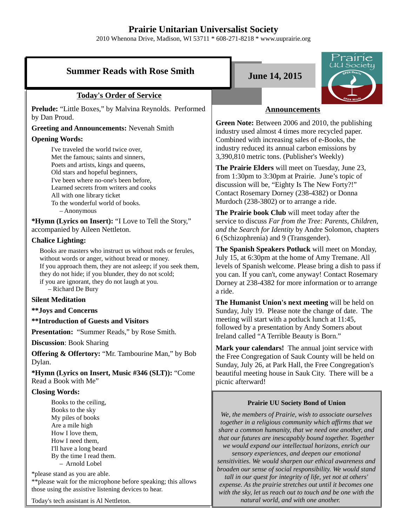# **Prairie Unitarian Universalist Society**

2010 Whenona Drive, Madison, WI 53711 \* 608-271-8218 \* www.uuprairie.org

# **Summer Reads with Rose Smith**  June 14, 2015

#### **Today's Order of Service**

**Prelude:** "Little Boxes," by Malvina Reynolds. Performed by Dan Proud.

# **Greeting and Announcements:** Nevenah Smith

#### **Opening Words:**

I've traveled the world twice over, Met the famous; saints and sinners, Poets and artists, kings and queens, Old stars and hopeful beginners, I've been where no-one's been before, Learned secrets from writers and cooks All with one library ticket To the wonderful world of books. – Anonymous

**\*Hymn (Lyrics on Insert):** "I Love to Tell the Story," accompanied by Aileen Nettleton.

#### **Chalice Lighting:**

Books are masters who instruct us without rods or ferules, without words or anger, without bread or money. If you approach them, they are not asleep; if you seek them, they do not hide; if you blunder, they do not scold; if you are ignorant, they do not laugh at you. – Richard De Bury

#### **Silent Meditation**

**\*\*Joys and Concerns**

**\*\*Introduction of Guests and Visitors**

**Presentation:** "Summer Reads," by Rose Smith.

**Discussion**: Book Sharing

**Offering & Offertory:** "Mr. Tambourine Man," by Bob Dylan.

**\*Hymn (Lyrics on Insert, Music #346 (SLT)):** "Come Read a Book with Me"

#### **Closing Words:**

Books to the ceiling, Books to the sky My piles of books Are a mile high How I love them, How I need them, I'll have a long beard By the time I read them. – Arnold Lobel

\*please stand as you are able. \*\*please wait for the microphone before speaking; this allows those using the assistive listening devices to hear.

Today's tech assistant is Al Nettleton.



#### **Announcements**

**Green Note:** Between 2006 and 2010, the publishing industry used almost 4 times more recycled paper. Combined with increasing sales of e-Books, the industry reduced its annual carbon emissions by 3,390,810 metric tons. (Publisher's Weekly)

**The Prairie Elders** will meet on Tuesday, June 23, from 1:30pm to 3:30pm at Prairie. June's topic of discussion will be, "Eighty Is The New Forty?!" Contact Rosemary Dorney (238-4382) or Donna Murdoch (238-3802) or to arrange a ride.

**The Prairie book Club** will meet today after the service to discuss *Far from the Tree: Parents, Children, and the Search for Identity* by Andre Solomon, chapters 6 (Schizophrenia) and 9 (Transgender).

**The Spanish Speakers Potluck** will meet on Monday, July 15, at 6:30pm at the home of Amy Tremane. All levels of Spanish welcome. Please bring a dish to pass if you can. If you can't, come anyway! Contact Rosemary Dorney at 238-4382 for more information or to arrange a ride.

**The Humanist Union's next meeting** will be held on Sunday, July 19. Please note the change of date. The meeting will start with a potluck lunch at 11:45, followed by a presentation by Andy Somers about Ireland called "A Terrible Beauty is Born."

**Mark your calendars!** The annual joint service with the Free Congregation of Sauk County will be held on Sunday, July 26, at Park Hall, the Free Congregation's beautiful meeting house in Sauk City. There will be a picnic afterward!

#### **Prairie UU Society Bond of Union**

*We, the members of Prairie, wish to associate ourselves together in a religious community which affirms that we share a common humanity, that we need one another, and that our futures are inescapably bound together. Together we would expand our intellectual horizons, enrich our sensory experiences, and deepen our emotional sensitivities. We would sharpen our ethical awareness and broaden our sense of social responsibility. We would stand tall in our quest for integrity of life, yet not at others' expense. As the prairie stretches out until it becomes one with the sky, let us reach out to touch and be one with the natural world, and with one another.*